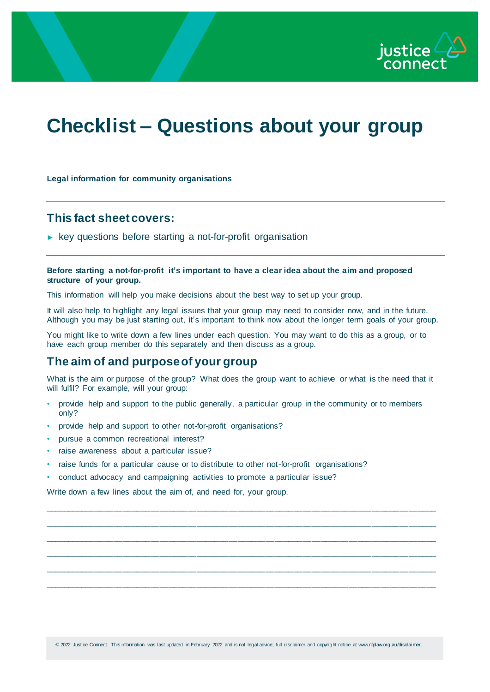

# **Checklist – Questions about your group**

#### **Legal information for community organisations**

### **This fact sheet covers:**

► key questions before starting a not-for-profit organisation

#### **Before starting a not-for-profit it's important to have a clear idea about the aim and proposed structure of your group.**

This information will help you make decisions about the best way to set up your group.

It will also help to highlight any legal issues that your group may need to consider now, and in the future. Although you may be just starting out, it's important to think now about the longer term goals of your group.

You might like to write down a few lines under each question. You may want to do this as a group, or to have each group member do this separately and then discuss as a group.

## **The aim of and purpose of your group**

What is the aim or purpose of the group? What does the group want to achieve or what is the need that it will fulfil? For example, will your group:

\_\_\_\_\_\_\_\_\_\_\_\_\_\_\_\_\_\_\_\_\_\_\_\_\_\_\_\_\_\_\_\_\_\_\_\_\_\_\_\_\_\_\_\_\_\_\_\_\_\_\_\_\_\_\_\_\_\_\_\_\_\_\_\_\_\_\_\_\_\_\_\_\_\_\_\_\_\_\_\_\_\_\_\_\_ \_\_\_\_\_\_\_\_\_\_\_\_\_\_\_\_\_\_\_\_\_\_\_\_\_\_\_\_\_\_\_\_\_\_\_\_\_\_\_\_\_\_\_\_\_\_\_\_\_\_\_\_\_\_\_\_\_\_\_\_\_\_\_\_\_\_\_\_\_\_\_\_\_\_\_\_\_\_\_\_\_\_\_\_\_ \_\_\_\_\_\_\_\_\_\_\_\_\_\_\_\_\_\_\_\_\_\_\_\_\_\_\_\_\_\_\_\_\_\_\_\_\_\_\_\_\_\_\_\_\_\_\_\_\_\_\_\_\_\_\_\_\_\_\_\_\_\_\_\_\_\_\_\_\_\_\_\_\_\_\_\_\_\_\_\_\_\_\_\_\_ \_\_\_\_\_\_\_\_\_\_\_\_\_\_\_\_\_\_\_\_\_\_\_\_\_\_\_\_\_\_\_\_\_\_\_\_\_\_\_\_\_\_\_\_\_\_\_\_\_\_\_\_\_\_\_\_\_\_\_\_\_\_\_\_\_\_\_\_\_\_\_\_\_\_\_\_\_\_\_\_\_\_\_\_\_ \_\_\_\_\_\_\_\_\_\_\_\_\_\_\_\_\_\_\_\_\_\_\_\_\_\_\_\_\_\_\_\_\_\_\_\_\_\_\_\_\_\_\_\_\_\_\_\_\_\_\_\_\_\_\_\_\_\_\_\_\_\_\_\_\_\_\_\_\_\_\_\_\_\_\_\_\_\_\_\_\_\_\_\_\_ \_\_\_\_\_\_\_\_\_\_\_\_\_\_\_\_\_\_\_\_\_\_\_\_\_\_\_\_\_\_\_\_\_\_\_\_\_\_\_\_\_\_\_\_\_\_\_\_\_\_\_\_\_\_\_\_\_\_\_\_\_\_\_\_\_\_\_\_\_\_\_\_\_\_\_\_\_\_\_\_\_\_\_\_\_

- provide help and support to the public generally, a particular group in the community or to members only?
- provide help and support to other not-for-profit organisations?
- pursue a common recreational interest?
- raise awareness about a particular issue?
- raise funds for a particular cause or to distribute to other not-for-profit organisations?
- conduct advocacy and campaigning activities to promote a particular issue?

Write down a few lines about the aim of, and need for, your group.

© 2022 Justice Connect. This information was last updated in February 2022 and is not legal advice; full disclaimer and copyright notice at www.nfplaw.org.au/disclai mer.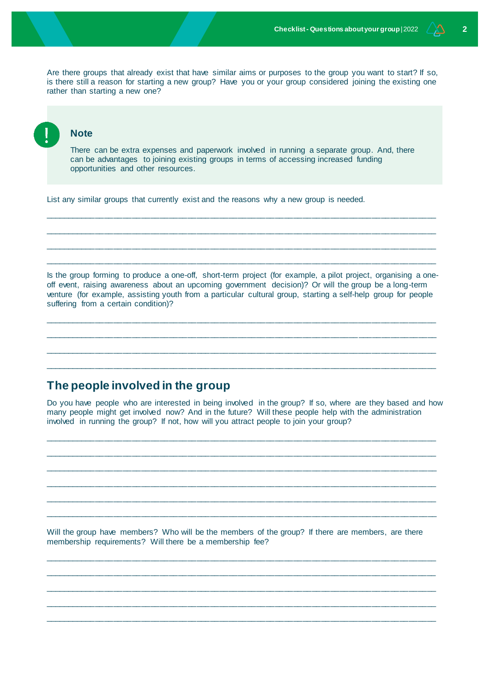Are there groups that already exist that have similar aims or purposes to the group you want to start? If so, is there still a reason for starting a new group? Have you or your group considered joining the existing one rather than starting a new one?

#### **Note**

There can be extra expenses and paperwork involved in running a separate group. And, there can be advantages to joining existing groups in terms of accessing increased funding opportunities and other resources.

\_\_\_\_\_\_\_\_\_\_\_\_\_\_\_\_\_\_\_\_\_\_\_\_\_\_\_\_\_\_\_\_\_\_\_\_\_\_\_\_\_\_\_\_\_\_\_\_\_\_\_\_\_\_\_\_\_\_\_\_\_\_\_\_\_\_\_\_\_\_\_\_\_\_\_\_\_\_\_\_\_\_\_\_\_ \_\_\_\_\_\_\_\_\_\_\_\_\_\_\_\_\_\_\_\_\_\_\_\_\_\_\_\_\_\_\_\_\_\_\_\_\_\_\_\_\_\_\_\_\_\_\_\_\_\_\_\_\_\_\_\_\_\_\_\_\_\_\_\_\_\_\_\_\_\_\_\_\_\_\_\_\_\_\_\_\_\_\_\_\_ \_\_\_\_\_\_\_\_\_\_\_\_\_\_\_\_\_\_\_\_\_\_\_\_\_\_\_\_\_\_\_\_\_\_\_\_\_\_\_\_\_\_\_\_\_\_\_\_\_\_\_\_\_\_\_\_\_\_\_\_\_\_\_\_\_\_\_\_\_\_\_\_\_\_\_\_\_\_\_\_\_\_\_\_\_ \_\_\_\_\_\_\_\_\_\_\_\_\_\_\_\_\_\_\_\_\_\_\_\_\_\_\_\_\_\_\_\_\_\_\_\_\_\_\_\_\_\_\_\_\_\_\_\_\_\_\_\_\_\_\_\_\_\_\_\_\_\_\_\_\_\_\_\_\_\_\_\_\_\_\_\_\_\_\_\_\_\_\_\_\_

List any similar groups that currently exist and the reasons why a new group is needed.

Is the group forming to produce a one-off, short-term project (for example, a pilot project, organising a oneoff event, raising awareness about an upcoming government decision)? Or will the group be a long-term venture (for example, assisting youth from a particular cultural group, starting a self-help group for people suffering from a certain condition)?

\_\_\_\_\_\_\_\_\_\_\_\_\_\_\_\_\_\_\_\_\_\_\_\_\_\_\_\_\_\_\_\_\_\_\_\_\_\_\_\_\_\_\_\_\_\_\_\_\_\_\_\_\_\_\_\_\_\_\_\_\_\_\_\_\_\_\_\_\_\_\_\_\_\_\_\_\_\_\_\_\_\_\_\_\_ \_\_\_\_\_\_\_\_\_\_\_\_\_\_\_\_\_\_\_\_\_\_\_\_\_\_\_\_\_\_\_\_\_\_\_\_\_\_\_\_\_\_\_\_\_\_\_\_\_\_\_\_\_\_\_\_\_\_\_\_\_\_\_\_\_\_\_\_\_\_\_\_\_\_\_\_\_\_\_\_\_\_\_\_\_ \_\_\_\_\_\_\_\_\_\_\_\_\_\_\_\_\_\_\_\_\_\_\_\_\_\_\_\_\_\_\_\_\_\_\_\_\_\_\_\_\_\_\_\_\_\_\_\_\_\_\_\_\_\_\_\_\_\_\_\_\_\_\_\_\_\_\_\_\_\_\_\_\_\_\_\_\_\_\_\_\_\_\_\_\_ \_\_\_\_\_\_\_\_\_\_\_\_\_\_\_\_\_\_\_\_\_\_\_\_\_\_\_\_\_\_\_\_\_\_\_\_\_\_\_\_\_\_\_\_\_\_\_\_\_\_\_\_\_\_\_\_\_\_\_\_\_\_\_\_\_\_\_\_\_\_\_\_\_\_\_\_\_\_\_\_\_\_\_\_\_

### **The people involved in the group**

Do you have people who are interested in being involved in the group? If so, where are they based and how many people might get involved now? And in the future? Will these people help with the administration involved in running the group? If not, how will you attract people to join your group?

\_\_\_\_\_\_\_\_\_\_\_\_\_\_\_\_\_\_\_\_\_\_\_\_\_\_\_\_\_\_\_\_\_\_\_\_\_\_\_\_\_\_\_\_\_\_\_\_\_\_\_\_\_\_\_\_\_\_\_\_\_\_\_\_\_\_\_\_\_\_\_\_\_\_\_\_\_\_\_\_\_\_\_\_\_ \_\_\_\_\_\_\_\_\_\_\_\_\_\_\_\_\_\_\_\_\_\_\_\_\_\_\_\_\_\_\_\_\_\_\_\_\_\_\_\_\_\_\_\_\_\_\_\_\_\_\_\_\_\_\_\_\_\_\_\_\_\_\_\_\_\_\_\_\_\_\_\_\_\_\_\_\_\_\_\_\_\_\_\_\_ \_\_\_\_\_\_\_\_\_\_\_\_\_\_\_\_\_\_\_\_\_\_\_\_\_\_\_\_\_\_\_\_\_\_\_\_\_\_\_\_\_\_\_\_\_\_\_\_\_\_\_\_\_\_\_\_\_\_\_\_\_\_\_\_\_\_\_\_\_\_\_\_\_\_\_\_\_\_\_\_\_\_\_\_\_ \_\_\_\_\_\_\_\_\_\_\_\_\_\_\_\_\_\_\_\_\_\_\_\_\_\_\_\_\_\_\_\_\_\_\_\_\_\_\_\_\_\_\_\_\_\_\_\_\_\_\_\_\_\_\_\_\_\_\_\_\_\_\_\_\_\_\_\_\_\_\_\_\_\_\_\_\_\_\_\_\_\_\_\_\_ \_\_\_\_\_\_\_\_\_\_\_\_\_\_\_\_\_\_\_\_\_\_\_\_\_\_\_\_\_\_\_\_\_\_\_\_\_\_\_\_\_\_\_\_\_\_\_\_\_\_\_\_\_\_\_\_\_\_\_\_\_\_\_\_\_\_\_\_\_\_\_\_\_\_\_\_\_\_\_\_\_\_\_\_\_ \_\_\_\_\_\_\_\_\_\_\_\_\_\_\_\_\_\_\_\_\_\_\_\_\_\_\_\_\_\_\_\_\_\_\_\_\_\_\_\_\_\_\_\_\_\_\_\_\_\_\_\_\_\_\_\_\_\_\_\_\_\_\_\_\_\_\_\_\_\_\_\_\_\_\_\_\_\_\_\_\_\_\_\_\_

Will the group have members? Who will be the members of the group? If there are members, are there membership requirements? Will there be a membership fee?

\_\_\_\_\_\_\_\_\_\_\_\_\_\_\_\_\_\_\_\_\_\_\_\_\_\_\_\_\_\_\_\_\_\_\_\_\_\_\_\_\_\_\_\_\_\_\_\_\_\_\_\_\_\_\_\_\_\_\_\_\_\_\_\_\_\_\_\_\_\_\_\_\_\_\_\_\_\_\_\_\_\_\_\_\_ \_\_\_\_\_\_\_\_\_\_\_\_\_\_\_\_\_\_\_\_\_\_\_\_\_\_\_\_\_\_\_\_\_\_\_\_\_\_\_\_\_\_\_\_\_\_\_\_\_\_\_\_\_\_\_\_\_\_\_\_\_\_\_\_\_\_\_\_\_\_\_\_\_\_\_\_\_\_\_\_\_\_\_\_\_ \_\_\_\_\_\_\_\_\_\_\_\_\_\_\_\_\_\_\_\_\_\_\_\_\_\_\_\_\_\_\_\_\_\_\_\_\_\_\_\_\_\_\_\_\_\_\_\_\_\_\_\_\_\_\_\_\_\_\_\_\_\_\_\_\_\_\_\_\_\_\_\_\_\_\_\_\_\_\_\_\_\_\_\_\_ \_\_\_\_\_\_\_\_\_\_\_\_\_\_\_\_\_\_\_\_\_\_\_\_\_\_\_\_\_\_\_\_\_\_\_\_\_\_\_\_\_\_\_\_\_\_\_\_\_\_\_\_\_\_\_\_\_\_\_\_\_\_\_\_\_\_\_\_\_\_\_\_\_\_\_\_\_\_\_\_\_\_\_\_\_ \_\_\_\_\_\_\_\_\_\_\_\_\_\_\_\_\_\_\_\_\_\_\_\_\_\_\_\_\_\_\_\_\_\_\_\_\_\_\_\_\_\_\_\_\_\_\_\_\_\_\_\_\_\_\_\_\_\_\_\_\_\_\_\_\_\_\_\_\_\_\_\_\_\_\_\_\_\_\_\_\_\_\_\_\_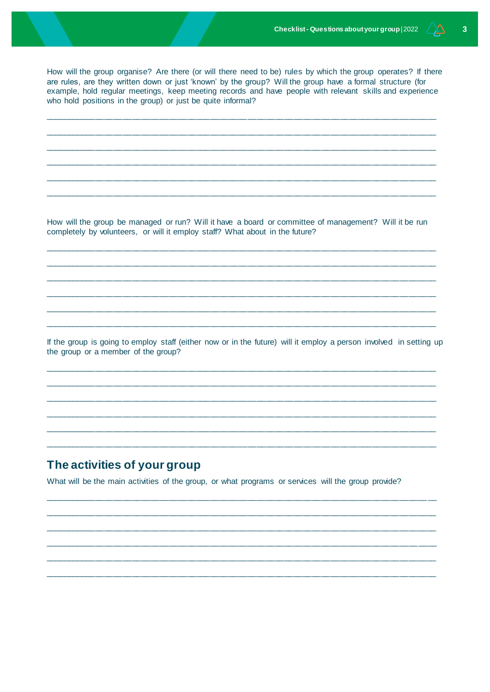How will the group organise? Are there (or will there need to be) rules by which the group operates? If there are rules, are they written down or just 'known' by the group? Will the group have a formal structure (for example, hold regular meetings, keep meeting records and have people with relevant skills and experience who hold positions in the group) or just be quite informal?

How will the group be managed or run? Will it have a board or committee of management? Will it be run completely by volunteers, or will it employ staff? What about in the future?

If the group is going to employ staff (either now or in the future) will it employ a person involved in setting up the group or a member of the group?

## The activities of your group

What will be the main activities of the group, or what programs or services will the group provide?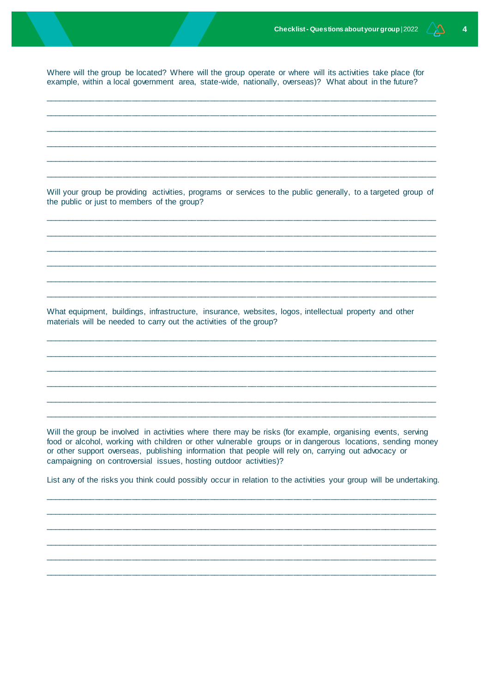Where will the group be located? Where will the group operate or where will its activities take place (for example, within a local government area, state-wide, nationally, overseas)? What about in the future?

Will your group be providing activities, programs or services to the public generally, to a targeted group of the public or just to members of the group?

What equipment, buildings, infrastructure, insurance, websites, logos, intellectual property and other materials will be needed to carry out the activities of the group?

Will the group be involved in activities where there may be risks (for example, organising events, serving food or alcohol, working with children or other vulnerable groups or in dangerous locations, sending money or other support overseas, publishing information that people will rely on, carrying out advocacy or campaigning on controversial issues, hosting outdoor activities)?

List any of the risks you think could possibly occur in relation to the activities your group will be undertaking.